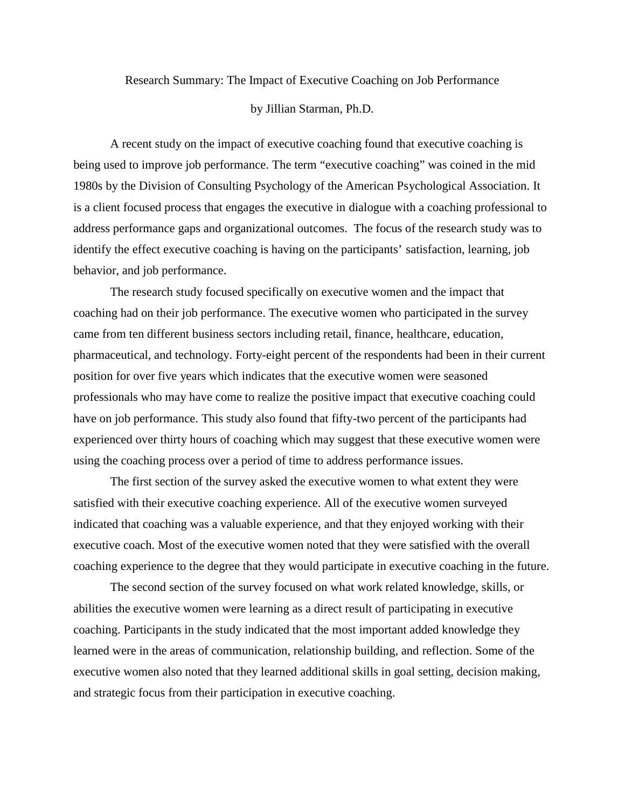Research Summary: The Impact of Executive Coaching on Job Performance

## by Jillian Starman, Ph.D.

A recent study on the impact of executive coaching found that executive coaching is being used to improve job performance. The term "executive coaching" was coined in the mid 1980s by the Division of Consulting Psychology of the American Psychological Association. It is a client focused process that engages the executive in dialogue with a coaching professional to address performance gaps and organizational outcomes. The focus of the research study was to identify the effect executive coaching is having on the participants' satisfaction, learning, job behavior, and job performance.

The research study focused specifically on executive women and the impact that coaching had on their job performance. The executive women who participated in the survey came from ten different business sectors including retail, finance, healthcare, education, pharmaceutical, and technology. Forty-eight percent of the respondents had been in their current position for over five years which indicates that the executive women were seasoned professionals who may have come to realize the positive impact that executive coaching could have on job performance. This study also found that fifty-two percent of the participants had experienced over thirty hours of coaching which may suggest that these executive women were using the coaching process over a period of time to address performance issues.

The first section of the survey asked the executive women to what extent they were satisfied with their executive coaching experience. All of the executive women surveyed indicated that coaching was a valuable experience, and that they enjoyed working with their executive coach. Most of the executive women noted that they were satisfied with the overall coaching experience to the degree that they would participate in executive coaching in the future.

The second section of the survey focused on what work related knowledge, skills, or abilities the executive women were learning as a direct result of participating in executive coaching. Participants in the study indicated that the most important added knowledge they learned were in the areas of communication, relationship building, and reflection. Some of the executive women also noted that they learned additional skills in goal setting, decision making, and strategic focus from their participation in executive coaching.